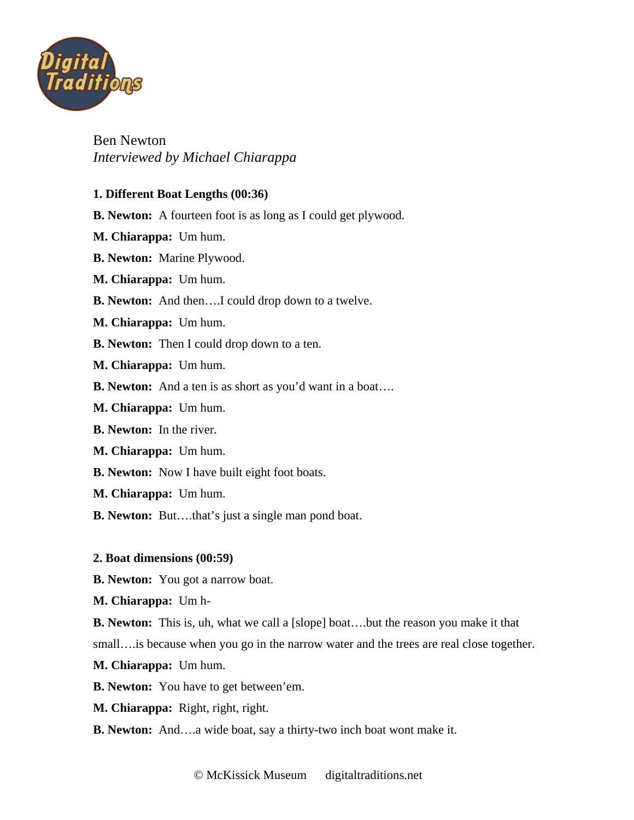

# Ben Newton *Interviewed by Michael Chiarappa*

### **1. Different Boat Lengths (00:36)**

- **B. Newton:** A fourteen foot is as long as I could get plywood.
- **M. Chiarappa:** Um hum.
- **B. Newton:** Marine Plywood.
- **M. Chiarappa:** Um hum.
- **B. Newton:** And then….I could drop down to a twelve.
- **M. Chiarappa:** Um hum.
- **B. Newton:** Then I could drop down to a ten.
- **M. Chiarappa:** Um hum.
- **B. Newton:** And a ten is as short as you'd want in a boat….
- **M. Chiarappa:** Um hum.
- **B. Newton:** In the river.
- **M. Chiarappa:** Um hum.
- **B. Newton:** Now I have built eight foot boats.
- **M. Chiarappa:** Um hum.
- **B. Newton:** But….that's just a single man pond boat.

### **2. Boat dimensions (00:59)**

- **B. Newton:** You got a narrow boat.
- **M. Chiarappa:** Um h-

**B. Newton:** This is, uh, what we call a [slope] boat….but the reason you make it that small... is because when you go in the narrow water and the trees are real close together.

- **M. Chiarappa:** Um hum.
- **B. Newton:** You have to get between'em.
- **M. Chiarappa:** Right, right, right.
- **B. Newton:** And….a wide boat, say a thirty-two inch boat wont make it.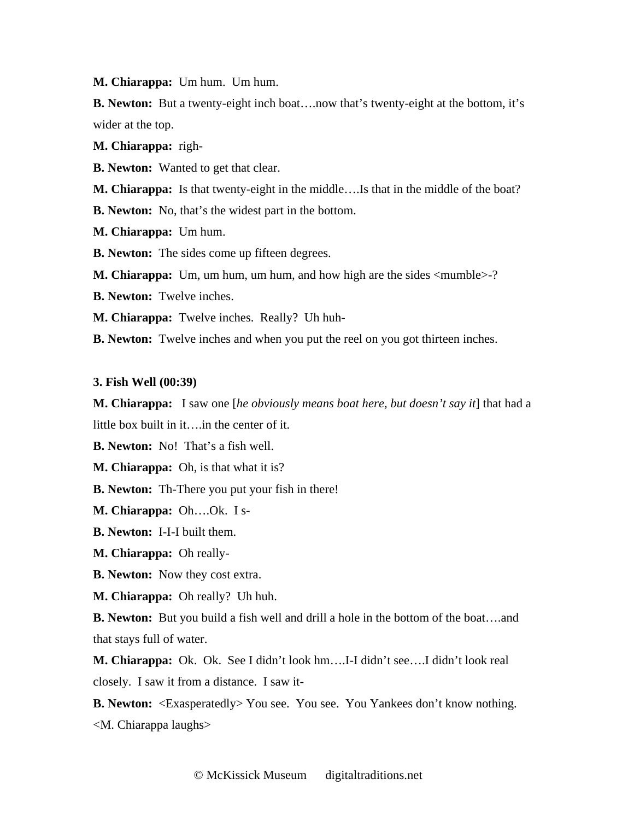**M. Chiarappa:** Um hum. Um hum.

**B. Newton:** But a twenty-eight inch boat….now that's twenty-eight at the bottom, it's wider at the top.

**M. Chiarappa:** righ-

**B. Newton:** Wanted to get that clear.

**M. Chiarappa:** Is that twenty-eight in the middle….Is that in the middle of the boat?

**B. Newton:** No, that's the widest part in the bottom.

**M. Chiarappa:** Um hum.

**B. Newton:** The sides come up fifteen degrees.

**M. Chiarappa:** Um, um hum, um hum, and how high are the sides <mumble>-?

**B. Newton:** Twelve inches.

**M. Chiarappa:** Twelve inches. Really? Uh huh-

**B. Newton:** Twelve inches and when you put the reel on you got thirteen inches.

#### **3. Fish Well (00:39)**

**M. Chiarappa:** I saw one [*he obviously means boat here, but doesn't say it*] that had a little box built in it….in the center of it.

**B. Newton:** No! That's a fish well.

**M. Chiarappa:** Oh, is that what it is?

**B. Newton:** Th-There you put your fish in there!

**M. Chiarappa:** Oh….Ok. I s-

**B. Newton:** I-I-I built them.

**M. Chiarappa:** Oh really-

**B. Newton:** Now they cost extra.

**M. Chiarappa:** Oh really? Uh huh.

**B. Newton:** But you build a fish well and drill a hole in the bottom of the boat….and that stays full of water.

**M. Chiarappa:** Ok. Ok. See I didn't look hm….I-I didn't see….I didn't look real closely. I saw it from a distance. I saw it-

**B. Newton:** <Exasperatedly> You see. You see. You Yankees don't know nothing. <M. Chiarappa laughs>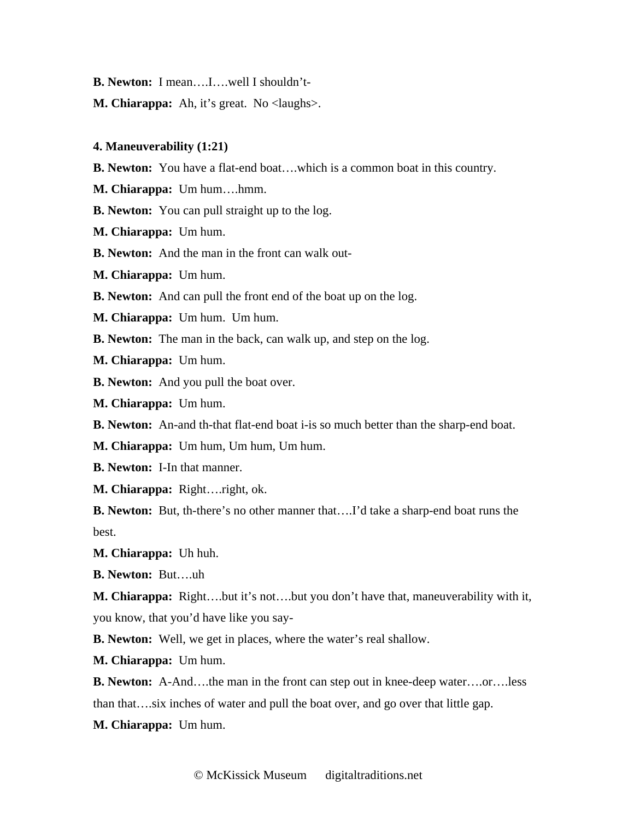- **B. Newton:** I mean….I….well I shouldn't-
- **M. Chiarappa:** Ah, it's great. No <laughs>.

#### **4. Maneuverability (1:21)**

- **B. Newton:** You have a flat-end boat….which is a common boat in this country.
- **M. Chiarappa:** Um hum….hmm.
- **B. Newton:** You can pull straight up to the log.
- **M. Chiarappa:** Um hum.
- **B. Newton:** And the man in the front can walk out-
- **M. Chiarappa:** Um hum.
- **B. Newton:** And can pull the front end of the boat up on the log.
- **M. Chiarappa:** Um hum. Um hum.
- **B. Newton:** The man in the back, can walk up, and step on the log.
- **M. Chiarappa:** Um hum.
- **B. Newton:** And you pull the boat over.
- **M. Chiarappa:** Um hum.
- **B. Newton:** An-and th-that flat-end boat i-is so much better than the sharp-end boat.
- **M. Chiarappa:** Um hum, Um hum, Um hum.
- **B. Newton:** I-In that manner.
- **M. Chiarappa:** Right….right, ok.
- **B. Newton:** But, th-there's no other manner that….I'd take a sharp-end boat runs the best.
- **M. Chiarappa:** Uh huh.
- **B. Newton:** But….uh
- **M. Chiarappa:** Right….but it's not….but you don't have that, maneuverability with it, you know, that you'd have like you say-
- **B. Newton:** Well, we get in places, where the water's real shallow.
- **M. Chiarappa:** Um hum.
- **B. Newton:** A-And….the man in the front can step out in knee-deep water….or….less than that….six inches of water and pull the boat over, and go over that little gap.
- **M. Chiarappa:** Um hum.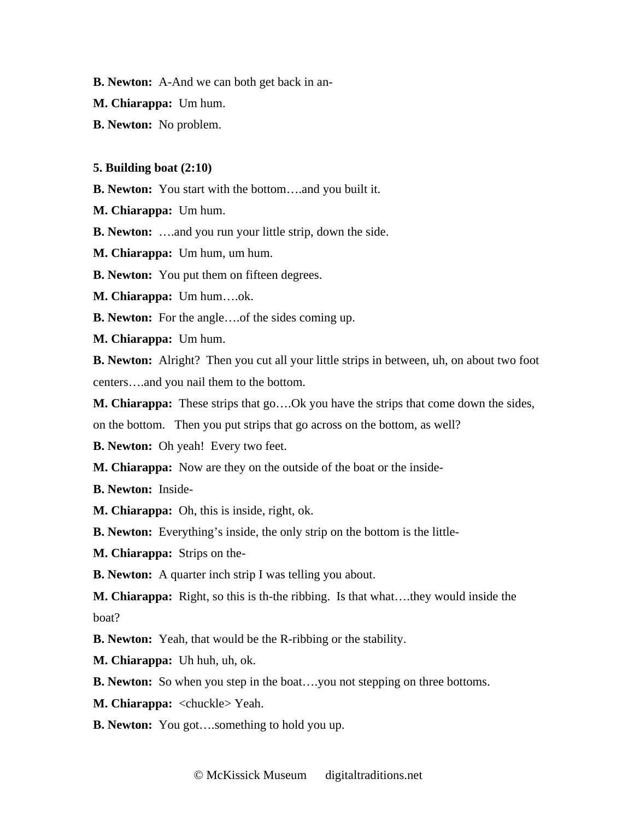**B. Newton:** A-And we can both get back in an-

**M. Chiarappa:** Um hum.

**B. Newton:** No problem.

#### **5. Building boat (2:10)**

**B. Newton:** You start with the bottom….and you built it.

**M. Chiarappa:** Um hum.

**B. Newton:** ….and you run your little strip, down the side.

**M. Chiarappa:** Um hum, um hum.

**B. Newton:** You put them on fifteen degrees.

**M. Chiarappa:** Um hum….ok.

**B. Newton:** For the angle….of the sides coming up.

**M. Chiarappa:** Um hum.

**B. Newton:** Alright? Then you cut all your little strips in between, uh, on about two foot centers….and you nail them to the bottom.

**M. Chiarappa:** These strips that go….Ok you have the strips that come down the sides,

on the bottom. Then you put strips that go across on the bottom, as well?

**B. Newton:** Oh yeah! Every two feet.

**M. Chiarappa:** Now are they on the outside of the boat or the inside-

**B. Newton:** Inside-

**M. Chiarappa:** Oh, this is inside, right, ok.

**B. Newton:** Everything's inside, the only strip on the bottom is the little-

**M. Chiarappa:** Strips on the-

**B. Newton:** A quarter inch strip I was telling you about.

**M. Chiarappa:** Right, so this is th-the ribbing. Is that what….they would inside the boat?

**B. Newton:** Yeah, that would be the R-ribbing or the stability.

**M. Chiarappa:** Uh huh, uh, ok.

**B. Newton:** So when you step in the boat..., you not stepping on three bottoms.

**M. Chiarappa:** <chuckle> Yeah.

**B. Newton:** You got….something to hold you up.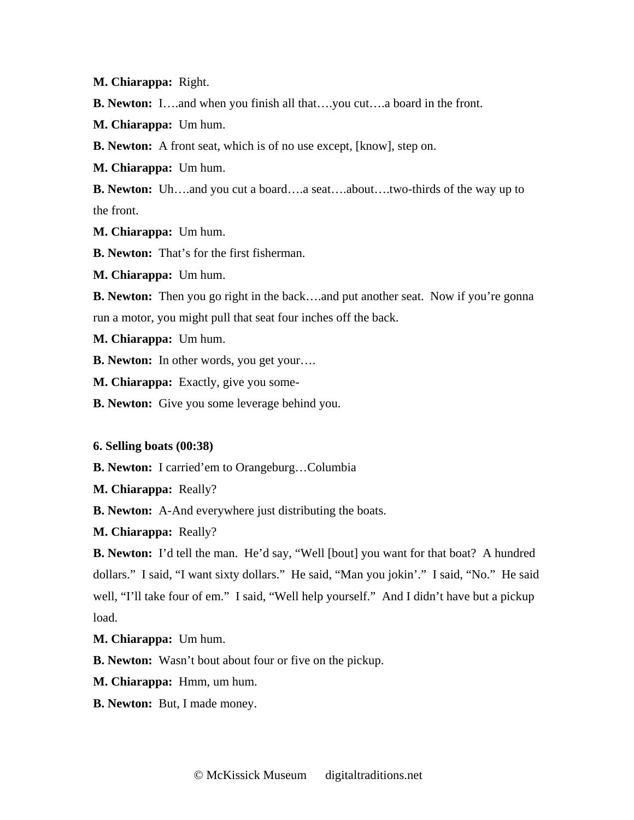**M. Chiarappa:** Right.

**B. Newton:** I….and when you finish all that….you cut….a board in the front.

**M. Chiarappa:** Um hum.

**B. Newton:** A front seat, which is of no use except, [know], step on.

**M. Chiarappa:** Um hum.

**B. Newton:** Uh….and you cut a board….a seat….about….two-thirds of the way up to the front.

**M. Chiarappa:** Um hum.

**B. Newton:** That's for the first fisherman.

**M. Chiarappa:** Um hum.

**B. Newton:** Then you go right in the back....and put another seat. Now if you're gonna run a motor, you might pull that seat four inches off the back.

**M. Chiarappa:** Um hum.

**B. Newton:** In other words, you get your….

**M. Chiarappa:** Exactly, give you some-

**B. Newton:** Give you some leverage behind you.

### **6. Selling boats (00:38)**

**B. Newton:** I carried'em to Orangeburg…Columbia

**M. Chiarappa:** Really?

**B. Newton:** A-And everywhere just distributing the boats.

**M. Chiarappa:** Really?

**B. Newton:** I'd tell the man. He'd say, "Well [bout] you want for that boat? A hundred dollars." I said, "I want sixty dollars." He said, "Man you jokin'." I said, "No." He said well, "I'll take four of em." I said, "Well help yourself." And I didn't have but a pickup load.

**M. Chiarappa:** Um hum.

**B. Newton:** Wasn't bout about four or five on the pickup.

**M. Chiarappa:** Hmm, um hum.

**B. Newton:** But, I made money.